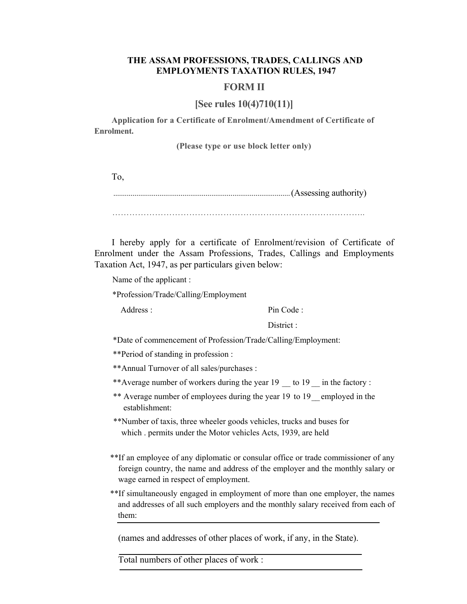## **THE ASSAM PROFESSIONS, TRADES, CALLINGS AND EMPLOYMENTS TAXATION RULES, 1947**

## **FORM II**

## **[See rules 10(4)710(11)]**

**Application for a Certificate of Enrolment/Amendment of Certificate of Enrolment.**

**(Please type or use block letter only)**

To,

............................................................................................(Assessing authority)

……………………………………………………………………………..

I hereby apply for a certificate of Enrolment/revision of Certificate of Enrolment under the Assam Professions, Trades, Callings and Employments Taxation Act, 1947, as per particulars given below:

Name of the applicant :

\*Profession/Trade/Calling/Employment

Address : Pin Code :

District ·

\*Date of commencement of Profession/Trade/Calling/Employment:

\*\*Period of standing in profession :

\*\*Annual Turnover of all sales/purchases :

- \*\*Average number of workers during the year 19 to 19 in the factory :
- \*\* Average number of employees during the year 19 to 19\_\_ employed in the establishment:

\*\*Number of taxis, three wheeler goods vehicles, trucks and buses for which . permits under the Motor vehicles Acts, 1939, are held

- \*\*If an employee of any diplomatic or consular office or trade commissioner of any foreign country, the name and address of the employer and the monthly salary or wage earned in respect of employment.
- \*\*If simultaneously engaged in employment of more than one employer, the names and addresses of all such employers and the monthly salary received from each of them:

(names and addresses of other places of work, if any, in the State).

Total numbers of other places of work :